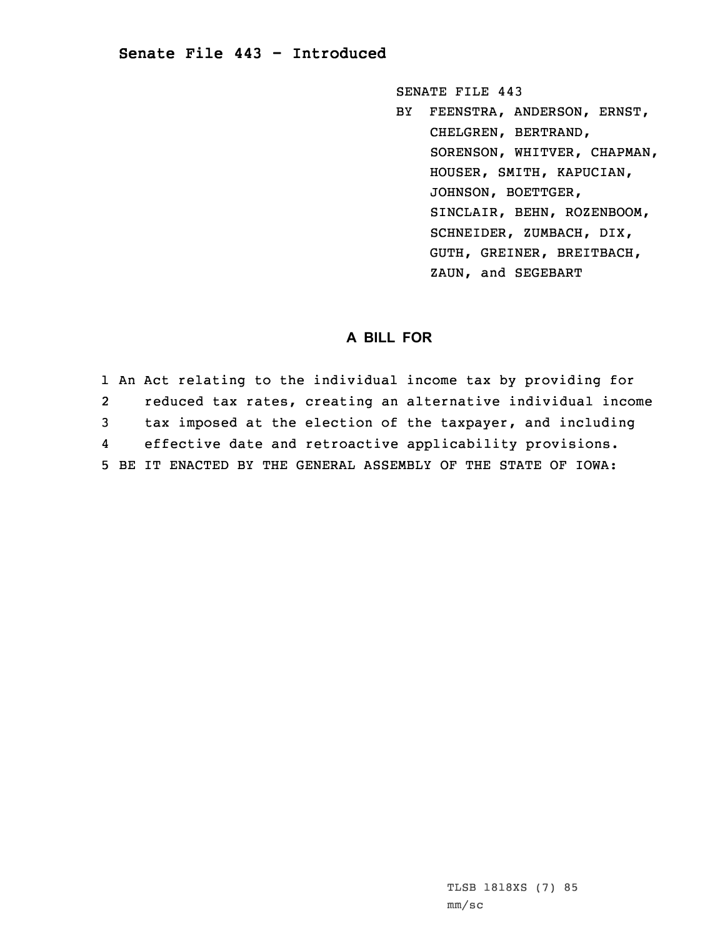SENATE FILE 443

BY FEENSTRA, ANDERSON, ERNST, CHELGREN, BERTRAND, SORENSON, WHITVER, CHAPMAN, HOUSER, SMITH, KAPUCIAN, JOHNSON, BOETTGER, SINCLAIR, BEHN, ROZENBOOM, SCHNEIDER, ZUMBACH, DIX, GUTH, GREINER, BREITBACH, ZAUN, and SEGEBART

## **A BILL FOR**

1 An Act relating to the individual income tax by providing for 2 reduced tax rates, creating an alternative individual income 3 tax imposed at the election of the taxpayer, and including 4 effective date and retroactive applicability provisions. 5 BE IT ENACTED BY THE GENERAL ASSEMBLY OF THE STATE OF IOWA: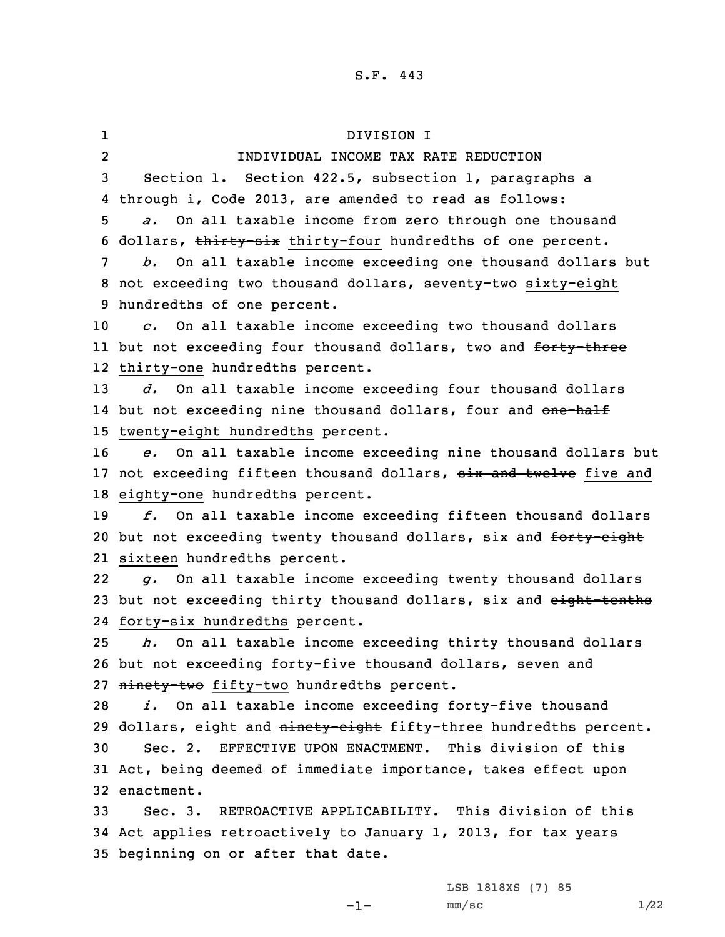1 DIVISION I 2 INDIVIDUAL INCOME TAX RATE REDUCTION Section 1. Section 422.5, subsection 1, paragraphs <sup>a</sup> through i, Code 2013, are amended to read as follows: *a.* On all taxable income from zero through one thousand 6 dollars, thirty-six thirty-four hundredths of one percent. *b.* On all taxable income exceeding one thousand dollars but 8 not exceeding two thousand dollars, seventy-two sixty-eight hundredths of one percent. *c.* On all taxable income exceeding two thousand dollars 11 but not exceeding four thousand dollars, two and <del>forty-three</del> thirty-one hundredths percent. *d.* On all taxable income exceeding four thousand dollars 14 but not exceeding nine thousand dollars, four and <del>one-half</del> twenty-eight hundredths percent. *e.* On all taxable income exceeding nine thousand dollars but 17 not exceeding fifteen thousand dollars, six and twelve five and eighty-one hundredths percent. *f.* On all taxable income exceeding fifteen thousand dollars 20 but not exceeding twenty thousand dollars, six and forty-eight sixteen hundredths percent. 22 *g.* On all taxable income exceeding twenty thousand dollars 23 but not exceeding thirty thousand dollars, six and eight-tenths forty-six hundredths percent. *h.* On all taxable income exceeding thirty thousand dollars but not exceeding forty-five thousand dollars, seven and 27 ninety-two fifty-two hundredths percent. *i.* On all taxable income exceeding forty-five thousand 29 dollars, eight and ninety-eight fifty-three hundredths percent. Sec. 2. EFFECTIVE UPON ENACTMENT. This division of this Act, being deemed of immediate importance, takes effect upon enactment. Sec. 3. RETROACTIVE APPLICABILITY. This division of this Act applies retroactively to January 1, 2013, for tax years beginning on or after that date.

LSB 1818XS (7) 85

 $-1-$ 

 $mm/sc$  1/22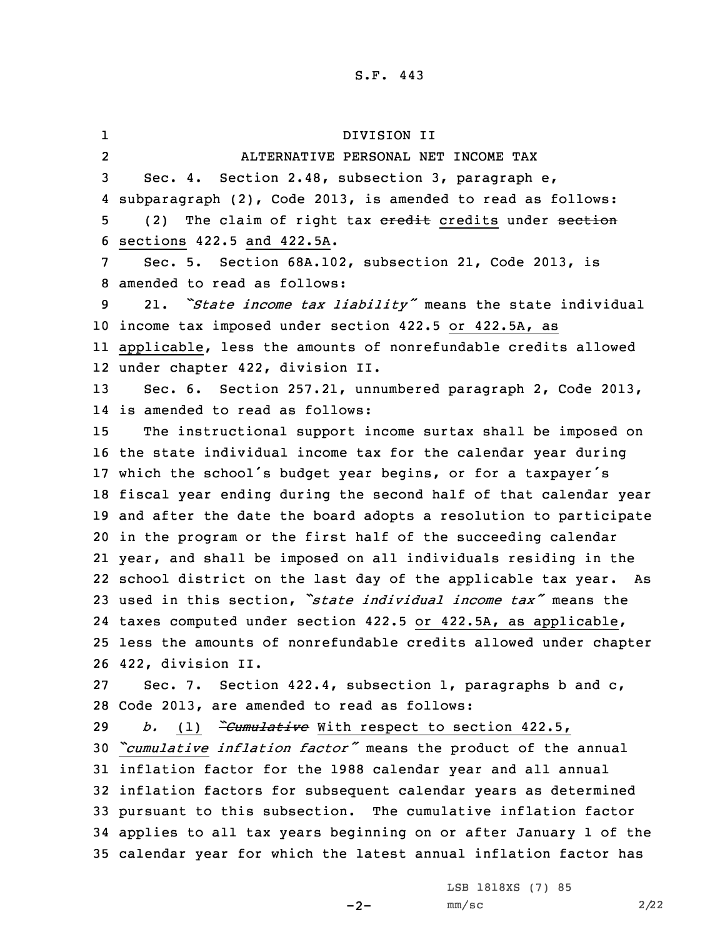1 DIVISION II 2 ALTERNATIVE PERSONAL NET INCOME TAX Sec. 4. Section 2.48, subsection 3, paragraph e, subparagraph (2), Code 2013, is amended to read as follows: 5 (2) The claim of right tax eredit credits under section sections 422.5 and 422.5A. Sec. 5. Section 68A.102, subsection 21, Code 2013, is amended to read as follows: 21. *"State income tax liability"* means the state individual income tax imposed under section 422.5 or 422.5A, as applicable, less the amounts of nonrefundable credits allowed under chapter 422, division II. Sec. 6. Section 257.21, unnumbered paragraph 2, Code 2013, is amended to read as follows: The instructional support income surtax shall be imposed on the state individual income tax for the calendar year during which the school's budget year begins, or for <sup>a</sup> taxpayer's fiscal year ending during the second half of that calendar year and after the date the board adopts <sup>a</sup> resolution to participate in the program or the first half of the succeeding calendar year, and shall be imposed on all individuals residing in the school district on the last day of the applicable tax year. As used in this section, *"state individual income tax"* means the taxes computed under section 422.5 or 422.5A, as applicable, less the amounts of nonrefundable credits allowed under chapter 422, division II. Sec. 7. Section 422.4, subsection 1, paragraphs b and c, Code 2013, are amended to read as follows: *b.* (1) *"Cumulative* With respect to section 422.5, *"cumulative inflation factor"* means the product of the annual inflation factor for the 1988 calendar year and all annual inflation factors for subsequent calendar years as determined pursuant to this subsection. The cumulative inflation factor applies to all tax years beginning on or after January 1 of the calendar year for which the latest annual inflation factor has

 $-2-$ 

LSB 1818XS (7) 85  $mm/sc$  2/22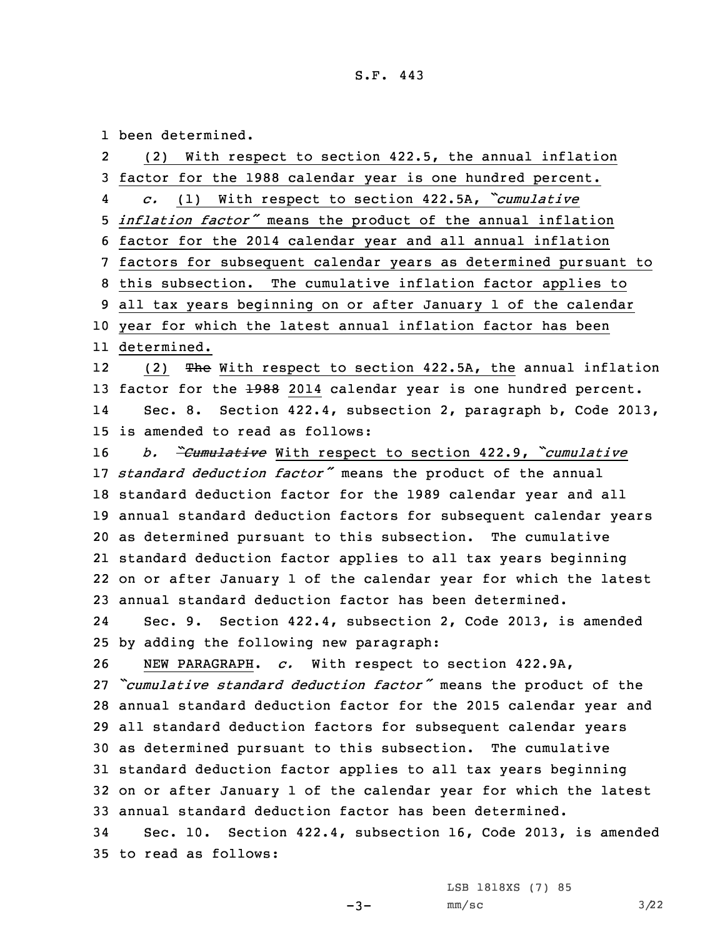1 been determined.

| $\mathbf{2}$ | (2) With respect to section 422.5, the annual inflation               |
|--------------|-----------------------------------------------------------------------|
| 3            | factor for the 1988 calendar year is one hundred percent.             |
| 4            | c. (1) With respect to section 422.5A, "cumulative                    |
|              | 5 <i>inflation factor</i> " means the product of the annual inflation |
|              | 6 factor for the 2014 calendar year and all annual inflation          |
| 7            | factors for subsequent calendar years as determined pursuant to       |
|              | 8 this subsection. The cumulative inflation factor applies to         |
|              | 9 all tax years beginning on or after January 1 of the calendar       |
|              | 10 year for which the latest annual inflation factor has been         |
|              | 11 determined.                                                        |
| 12           | (2) The With respect to section 422.5A, the annual inflation          |
|              | 13 factor for the 1988 2014 calendar year is one hundred percent.     |
| 14           | Sec. 8. Section 422.4, subsection 2, paragraph b, Code 2013,          |
|              | 15 is amended to read as follows:                                     |
| 16           | b. Cumulative With respect to section 422.9, Cumulative               |
|              | 17 standard deduction factor" means the product of the annual         |
|              | 18 standard deduction factor for the 1989 calendar year and all       |
|              | 19 annual standard deduction factors for subsequent calendar years    |
|              | 20 as determined pursuant to this subsection. The cumulative          |
|              | 21 standard deduction factor applies to all tax years beginning       |
|              | 22 on or after January 1 of the calendar year for which the latest    |
|              | 23 annual standard deduction factor has been determined.              |
| 24           | Sec. 9. Section 422.4, subsection 2, Code 2013, is amended            |
|              | 25 by adding the following new paragraph:                             |
| 26           | NEW PARAGRAPH. c. With respect to section 422.9A,                     |
|              | 27 "cumulative standard deduction factor" means the product of the    |
|              | 28 annual standard deduction factor for the 2015 calendar year and    |
|              | 29 all standard deduction factors for subsequent calendar years       |
|              | 30 as determined pursuant to this subsection. The cumulative          |
|              | 31 standard deduction factor applies to all tax years beginning       |
|              | 32 on or after January 1 of the calendar year for which the latest    |
|              | 33 annual standard deduction factor has been determined.              |
| 34           | Sec. 10. Section 422.4, subsection 16, Code 2013, is amended          |
|              | 35 to read as follows:                                                |

LSB 1818XS (7) 85

-3-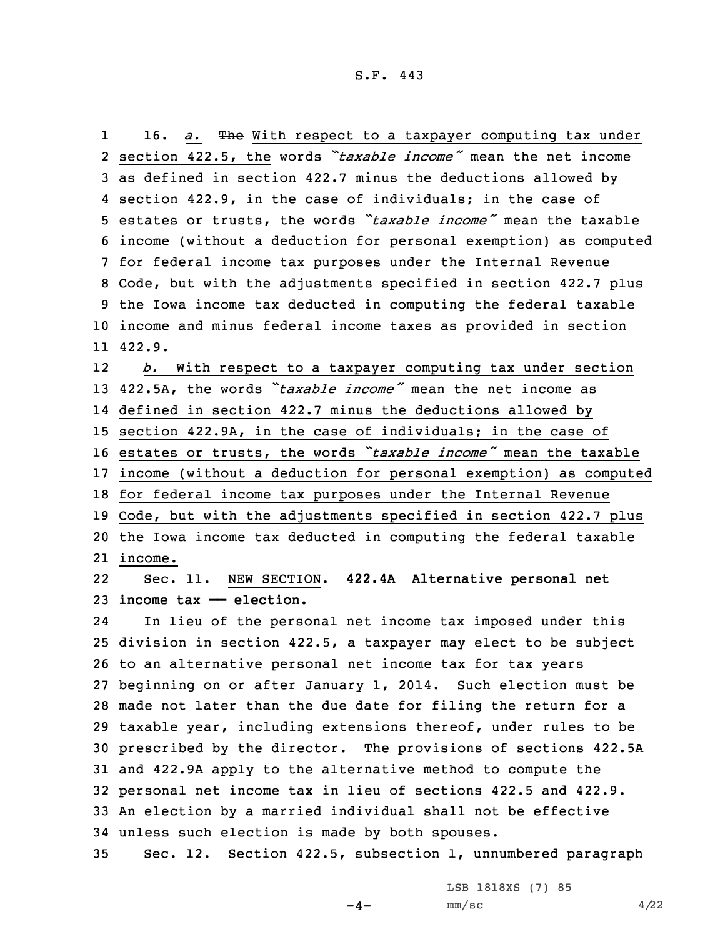116. *a.* The With respect to a taxpayer computing tax under section 422.5, the words *"taxable income"* mean the net income as defined in section 422.7 minus the deductions allowed by section 422.9, in the case of individuals; in the case of estates or trusts, the words *"taxable income"* mean the taxable income (without <sup>a</sup> deduction for personal exemption) as computed for federal income tax purposes under the Internal Revenue Code, but with the adjustments specified in section 422.7 plus the Iowa income tax deducted in computing the federal taxable income and minus federal income taxes as provided in section 11 422.9.

12 *b.* With respect to <sup>a</sup> taxpayer computing tax under section 422.5A, the words *"taxable income"* mean the net income as defined in section 422.7 minus the deductions allowed by section 422.9A, in the case of individuals; in the case of estates or trusts, the words *"taxable income"* mean the taxable income (without <sup>a</sup> deduction for personal exemption) as computed for federal income tax purposes under the Internal Revenue Code, but with the adjustments specified in section 422.7 plus the Iowa income tax deducted in computing the federal taxable 21 income.

22 Sec. 11. NEW SECTION. **422.4A Alternative personal net** 23 **income tax —— election.**

24 In lieu of the personal net income tax imposed under this division in section 422.5, <sup>a</sup> taxpayer may elect to be subject to an alternative personal net income tax for tax years beginning on or after January 1, 2014. Such election must be made not later than the due date for filing the return for <sup>a</sup> taxable year, including extensions thereof, under rules to be prescribed by the director. The provisions of sections 422.5A and 422.9A apply to the alternative method to compute the personal net income tax in lieu of sections 422.5 and 422.9. An election by <sup>a</sup> married individual shall not be effective unless such election is made by both spouses.

35 Sec. 12. Section 422.5, subsection 1, unnumbered paragraph

LSB 1818XS (7) 85

 $-4-$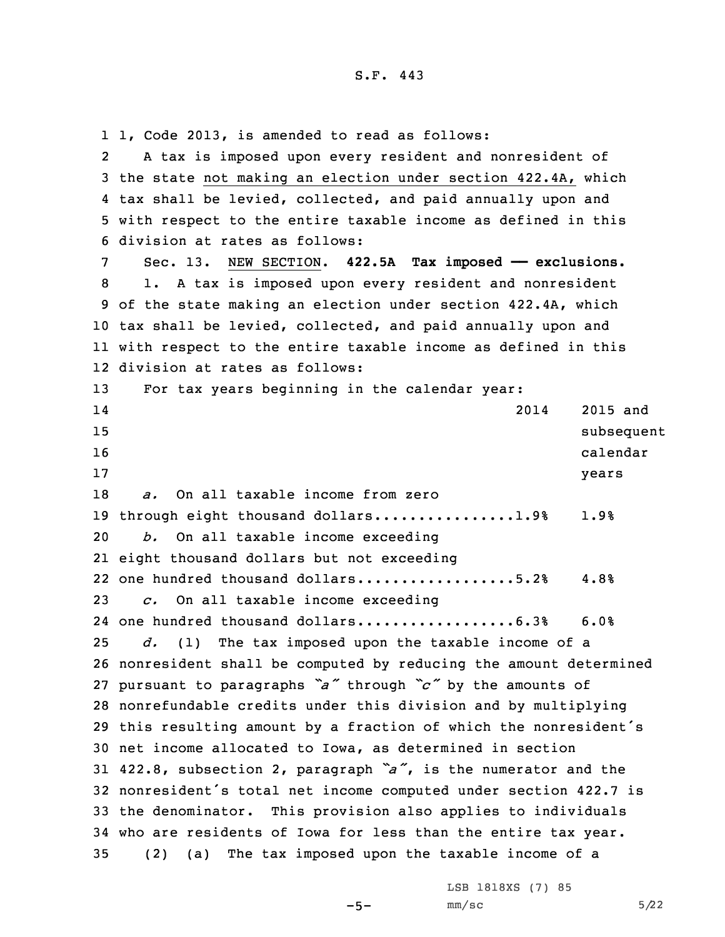1, Code 2013, is amended to read as follows: 2 <sup>A</sup> tax is imposed upon every resident and nonresident of the state not making an election under section 422.4A, which tax shall be levied, collected, and paid annually upon and with respect to the entire taxable income as defined in this division at rates as follows: Sec. 13. NEW SECTION. **422.5A Tax imposed —— exclusions.** 1. <sup>A</sup> tax is imposed upon every resident and nonresident of the state making an election under section 422.4A, which tax shall be levied, collected, and paid annually upon and with respect to the entire taxable income as defined in this division at rates as follows: 13 For tax years beginning in the calendar year: 14 2014 2015 and 15 subsequent to the contract of the contract of the contract of the contract of the contract of the contract of the contract of the contract of the contract of the contract of the contract of the contract of the contract 16 calendar calendar calendar calendar calendar calendar calendar calendar calendar calendar calendar calendar 17 years *a.* On all taxable income from zero 19 through eight thousand dollars................1.9% 1.9% *b.* On all taxable income exceeding eight thousand dollars but not exceeding 22 one hundred thousand dollars...................5.2% 4.8% *c.* On all taxable income exceeding 24 one hundred thousand dollars...................6.3% 6.0% *d.* (1) The tax imposed upon the taxable income of <sup>a</sup> nonresident shall be computed by reducing the amount determined pursuant to paragraphs *"a"* through *"c"* by the amounts of nonrefundable credits under this division and by multiplying this resulting amount by <sup>a</sup> fraction of which the nonresident's net income allocated to Iowa, as determined in section 422.8, subsection 2, paragraph *"a"*, is the numerator and the nonresident's total net income computed under section 422.7 is the denominator. This provision also applies to individuals who are residents of Iowa for less than the entire tax year. (2) (a) The tax imposed upon the taxable income of <sup>a</sup>

LSB 1818XS (7) 85

```
-5-
```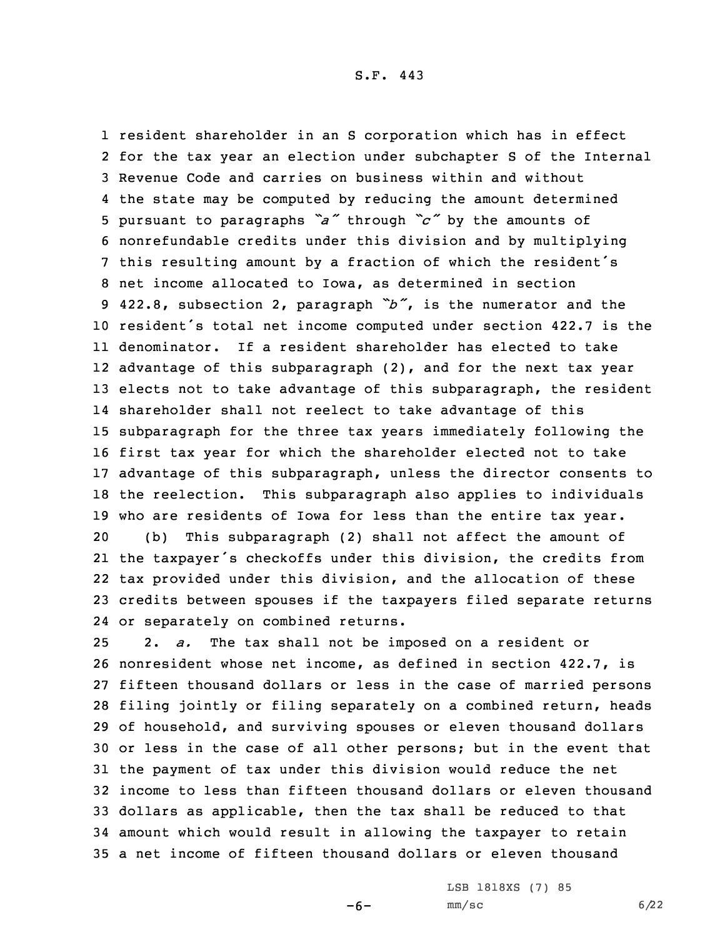resident shareholder in an S corporation which has in effect for the tax year an election under subchapter S of the Internal Revenue Code and carries on business within and without the state may be computed by reducing the amount determined pursuant to paragraphs *"a"* through *"c"* by the amounts of nonrefundable credits under this division and by multiplying this resulting amount by <sup>a</sup> fraction of which the resident's net income allocated to Iowa, as determined in section 422.8, subsection 2, paragraph *"b"*, is the numerator and the resident's total net income computed under section 422.7 is the denominator. If <sup>a</sup> resident shareholder has elected to take advantage of this subparagraph (2), and for the next tax year elects not to take advantage of this subparagraph, the resident shareholder shall not reelect to take advantage of this subparagraph for the three tax years immediately following the first tax year for which the shareholder elected not to take advantage of this subparagraph, unless the director consents to the reelection. This subparagraph also applies to individuals who are residents of Iowa for less than the entire tax year. (b) This subparagraph (2) shall not affect the amount of the taxpayer's checkoffs under this division, the credits from tax provided under this division, and the allocation of these credits between spouses if the taxpayers filed separate returns or separately on combined returns.

 2. *a.* The tax shall not be imposed on <sup>a</sup> resident or nonresident whose net income, as defined in section 422.7, is fifteen thousand dollars or less in the case of married persons filing jointly or filing separately on <sup>a</sup> combined return, heads of household, and surviving spouses or eleven thousand dollars or less in the case of all other persons; but in the event that the payment of tax under this division would reduce the net income to less than fifteen thousand dollars or eleven thousand dollars as applicable, then the tax shall be reduced to that amount which would result in allowing the taxpayer to retain <sup>a</sup> net income of fifteen thousand dollars or eleven thousand

LSB 1818XS (7) 85

 $-6-$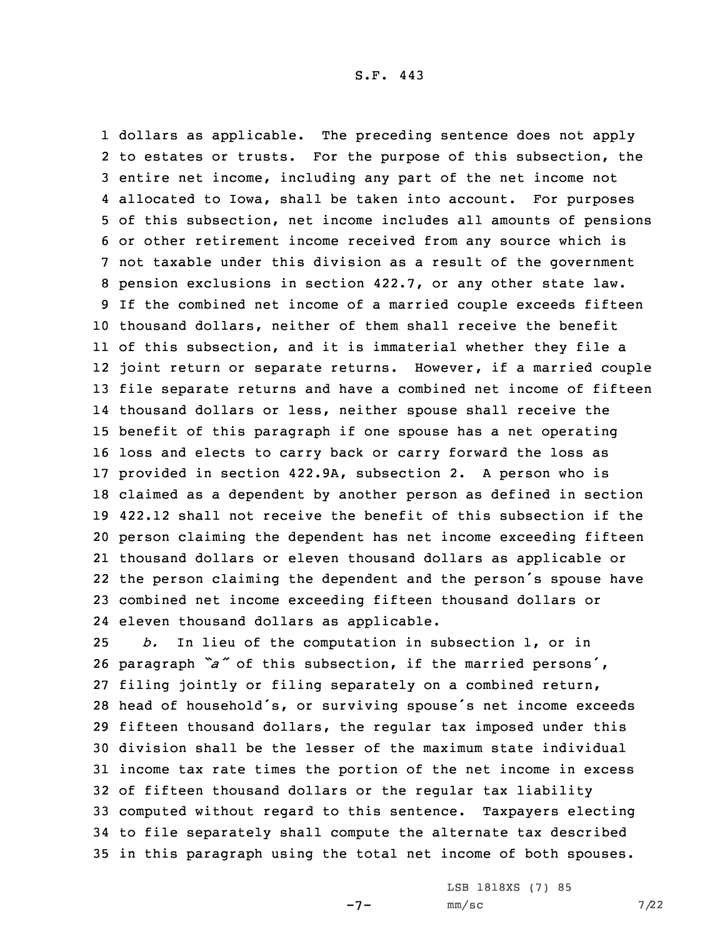dollars as applicable. The preceding sentence does not apply to estates or trusts. For the purpose of this subsection, the entire net income, including any part of the net income not allocated to Iowa, shall be taken into account. For purposes of this subsection, net income includes all amounts of pensions or other retirement income received from any source which is not taxable under this division as <sup>a</sup> result of the government pension exclusions in section 422.7, or any other state law. If the combined net income of <sup>a</sup> married couple exceeds fifteen thousand dollars, neither of them shall receive the benefit of this subsection, and it is immaterial whether they file <sup>a</sup> joint return or separate returns. However, if <sup>a</sup> married couple file separate returns and have <sup>a</sup> combined net income of fifteen thousand dollars or less, neither spouse shall receive the benefit of this paragraph if one spouse has <sup>a</sup> net operating loss and elects to carry back or carry forward the loss as provided in section 422.9A, subsection 2. <sup>A</sup> person who is claimed as <sup>a</sup> dependent by another person as defined in section 422.12 shall not receive the benefit of this subsection if the person claiming the dependent has net income exceeding fifteen thousand dollars or eleven thousand dollars as applicable or the person claiming the dependent and the person's spouse have combined net income exceeding fifteen thousand dollars or eleven thousand dollars as applicable.

 *b.* In lieu of the computation in subsection 1, or in paragraph *"a"* of this subsection, if the married persons', filing jointly or filing separately on <sup>a</sup> combined return, head of household's, or surviving spouse's net income exceeds fifteen thousand dollars, the regular tax imposed under this division shall be the lesser of the maximum state individual income tax rate times the portion of the net income in excess of fifteen thousand dollars or the regular tax liability computed without regard to this sentence. Taxpayers electing to file separately shall compute the alternate tax described in this paragraph using the total net income of both spouses.

-7-

LSB 1818XS (7) 85  $mm/sc$  7/22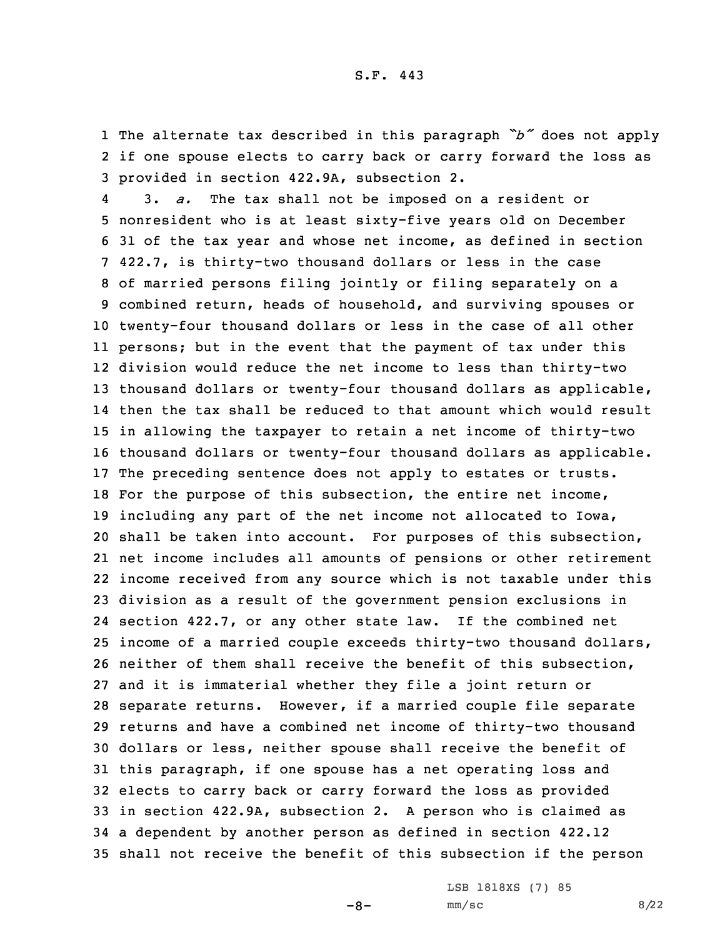1 The alternate tax described in this paragraph *"b"* does not apply 2 if one spouse elects to carry back or carry forward the loss as 3 provided in section 422.9A, subsection 2.

4 3. *a.* The tax shall not be imposed on <sup>a</sup> resident or nonresident who is at least sixty-five years old on December 31 of the tax year and whose net income, as defined in section 422.7, is thirty-two thousand dollars or less in the case of married persons filing jointly or filing separately on <sup>a</sup> combined return, heads of household, and surviving spouses or twenty-four thousand dollars or less in the case of all other persons; but in the event that the payment of tax under this division would reduce the net income to less than thirty-two thousand dollars or twenty-four thousand dollars as applicable, then the tax shall be reduced to that amount which would result in allowing the taxpayer to retain <sup>a</sup> net income of thirty-two thousand dollars or twenty-four thousand dollars as applicable. The preceding sentence does not apply to estates or trusts. For the purpose of this subsection, the entire net income, including any part of the net income not allocated to Iowa, shall be taken into account. For purposes of this subsection, net income includes all amounts of pensions or other retirement income received from any source which is not taxable under this division as <sup>a</sup> result of the government pension exclusions in section 422.7, or any other state law. If the combined net income of <sup>a</sup> married couple exceeds thirty-two thousand dollars, neither of them shall receive the benefit of this subsection, and it is immaterial whether they file <sup>a</sup> joint return or separate returns. However, if <sup>a</sup> married couple file separate returns and have <sup>a</sup> combined net income of thirty-two thousand dollars or less, neither spouse shall receive the benefit of this paragraph, if one spouse has <sup>a</sup> net operating loss and elects to carry back or carry forward the loss as provided in section 422.9A, subsection 2. <sup>A</sup> person who is claimed as <sup>a</sup> dependent by another person as defined in section 422.12 shall not receive the benefit of this subsection if the person

 $-8-$ 

LSB 1818XS (7) 85  $mm/sc$  8/22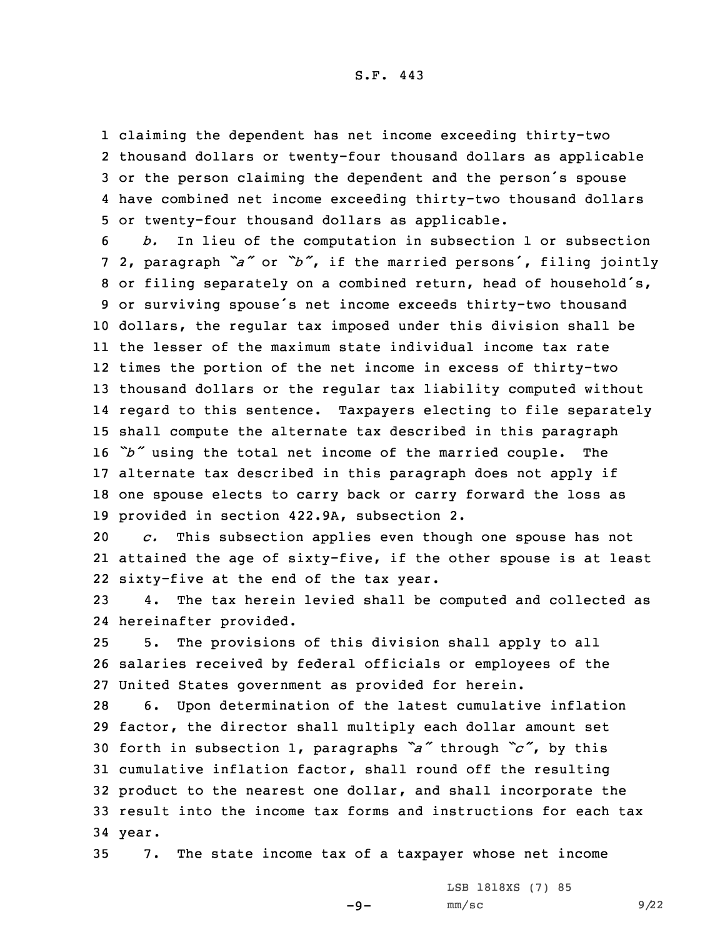claiming the dependent has net income exceeding thirty-two thousand dollars or twenty-four thousand dollars as applicable or the person claiming the dependent and the person's spouse have combined net income exceeding thirty-two thousand dollars or twenty-four thousand dollars as applicable.

 *b.* In lieu of the computation in subsection 1 or subsection 2, paragraph *"a"* or *"b"*, if the married persons', filing jointly or filing separately on <sup>a</sup> combined return, head of household's, or surviving spouse's net income exceeds thirty-two thousand dollars, the regular tax imposed under this division shall be the lesser of the maximum state individual income tax rate times the portion of the net income in excess of thirty-two thousand dollars or the regular tax liability computed without regard to this sentence. Taxpayers electing to file separately shall compute the alternate tax described in this paragraph *"b"* using the total net income of the married couple. The alternate tax described in this paragraph does not apply if one spouse elects to carry back or carry forward the loss as provided in section 422.9A, subsection 2.

20 *c.* This subsection applies even though one spouse has not 21 attained the age of sixty-five, if the other spouse is at least 22 sixty-five at the end of the tax year.

23 4. The tax herein levied shall be computed and collected as 24 hereinafter provided.

25 5. The provisions of this division shall apply to all 26 salaries received by federal officials or employees of the 27 United States government as provided for herein.

 6. Upon determination of the latest cumulative inflation factor, the director shall multiply each dollar amount set forth in subsection 1, paragraphs *"a"* through *"c"*, by this cumulative inflation factor, shall round off the resulting product to the nearest one dollar, and shall incorporate the result into the income tax forms and instructions for each tax 34 year.

35 7. The state income tax of <sup>a</sup> taxpayer whose net income

LSB 1818XS (7) 85

 $-9-$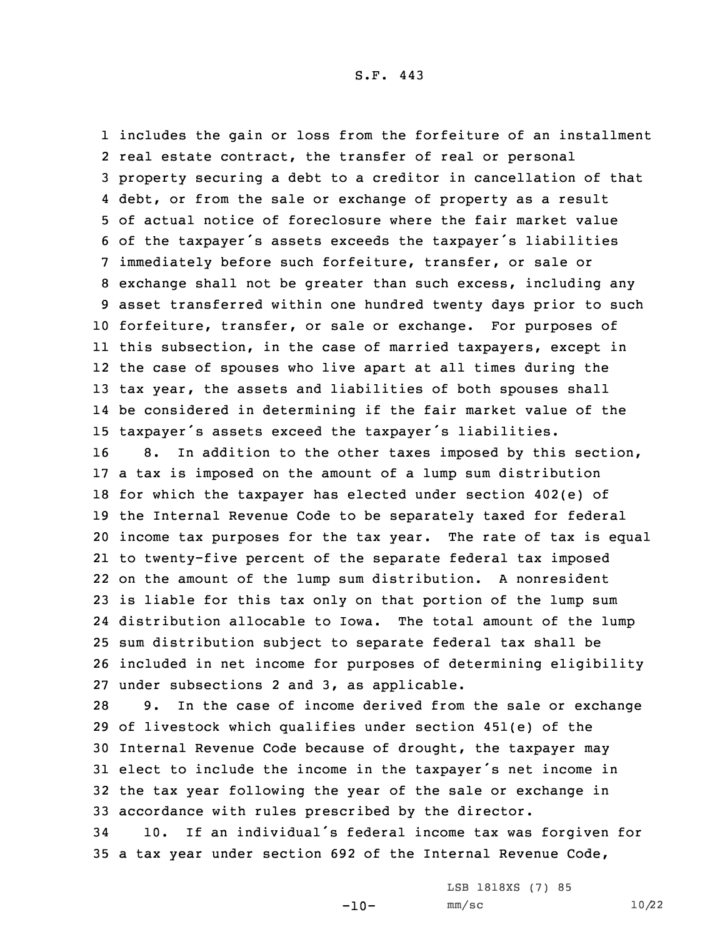includes the gain or loss from the forfeiture of an installment real estate contract, the transfer of real or personal property securing <sup>a</sup> debt to <sup>a</sup> creditor in cancellation of that debt, or from the sale or exchange of property as <sup>a</sup> result of actual notice of foreclosure where the fair market value of the taxpayer's assets exceeds the taxpayer's liabilities immediately before such forfeiture, transfer, or sale or exchange shall not be greater than such excess, including any asset transferred within one hundred twenty days prior to such forfeiture, transfer, or sale or exchange. For purposes of this subsection, in the case of married taxpayers, except in the case of spouses who live apart at all times during the tax year, the assets and liabilities of both spouses shall be considered in determining if the fair market value of the taxpayer's assets exceed the taxpayer's liabilities.

 8. In addition to the other taxes imposed by this section, <sup>a</sup> tax is imposed on the amount of <sup>a</sup> lump sum distribution for which the taxpayer has elected under section 402(e) of the Internal Revenue Code to be separately taxed for federal income tax purposes for the tax year. The rate of tax is equal to twenty-five percent of the separate federal tax imposed on the amount of the lump sum distribution. <sup>A</sup> nonresident is liable for this tax only on that portion of the lump sum distribution allocable to Iowa. The total amount of the lump sum distribution subject to separate federal tax shall be included in net income for purposes of determining eligibility under subsections 2 and 3, as applicable.

 9. In the case of income derived from the sale or exchange of livestock which qualifies under section 451(e) of the Internal Revenue Code because of drought, the taxpayer may elect to include the income in the taxpayer's net income in the tax year following the year of the sale or exchange in accordance with rules prescribed by the director.

<sup>34</sup> 10. If an individual's federal income tax was forgiven for 35 <sup>a</sup> tax year under section 692 of the Internal Revenue Code,

 $-10-$ 

LSB 1818XS (7) 85 mm/sc 10/22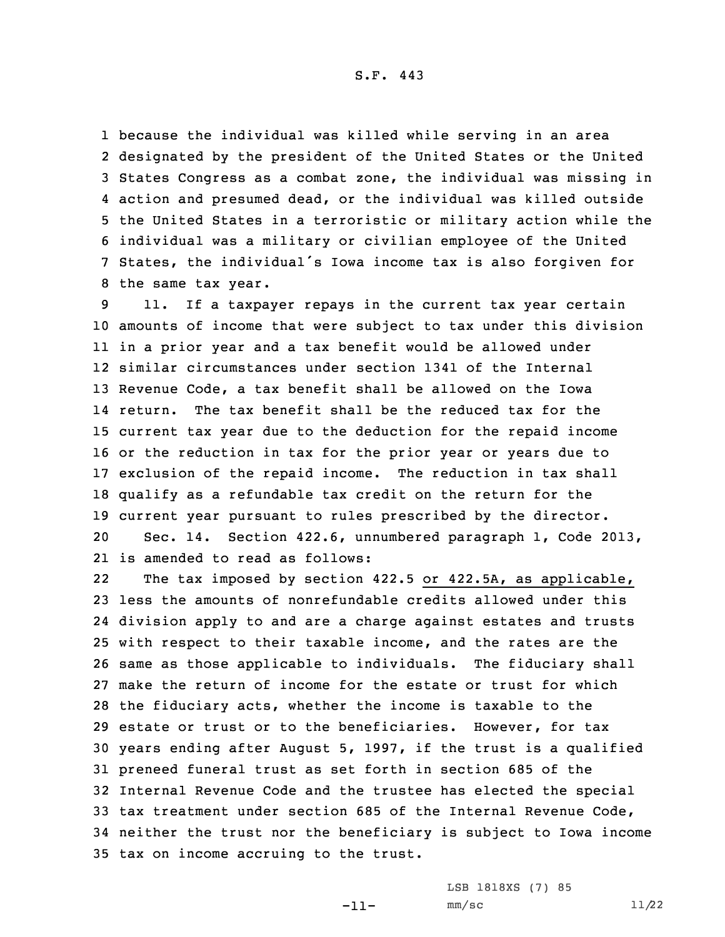because the individual was killed while serving in an area designated by the president of the United States or the United States Congress as <sup>a</sup> combat zone, the individual was missing in action and presumed dead, or the individual was killed outside the United States in <sup>a</sup> terroristic or military action while the individual was <sup>a</sup> military or civilian employee of the United States, the individual's Iowa income tax is also forgiven for the same tax year.

 11. If <sup>a</sup> taxpayer repays in the current tax year certain amounts of income that were subject to tax under this division in <sup>a</sup> prior year and <sup>a</sup> tax benefit would be allowed under similar circumstances under section 1341 of the Internal Revenue Code, <sup>a</sup> tax benefit shall be allowed on the Iowa return. The tax benefit shall be the reduced tax for the current tax year due to the deduction for the repaid income or the reduction in tax for the prior year or years due to exclusion of the repaid income. The reduction in tax shall qualify as <sup>a</sup> refundable tax credit on the return for the current year pursuant to rules prescribed by the director. Sec. 14. Section 422.6, unnumbered paragraph 1, Code 2013, is amended to read as follows:

22The tax imposed by section 422.5 or 422.5A, as applicable, less the amounts of nonrefundable credits allowed under this division apply to and are <sup>a</sup> charge against estates and trusts with respect to their taxable income, and the rates are the same as those applicable to individuals. The fiduciary shall make the return of income for the estate or trust for which the fiduciary acts, whether the income is taxable to the estate or trust or to the beneficiaries. However, for tax years ending after August 5, 1997, if the trust is <sup>a</sup> qualified preneed funeral trust as set forth in section 685 of the Internal Revenue Code and the trustee has elected the special tax treatment under section 685 of the Internal Revenue Code, neither the trust nor the beneficiary is subject to Iowa income tax on income accruing to the trust.

LSB 1818XS (7) 85

-11-

 $mm/sc$  11/22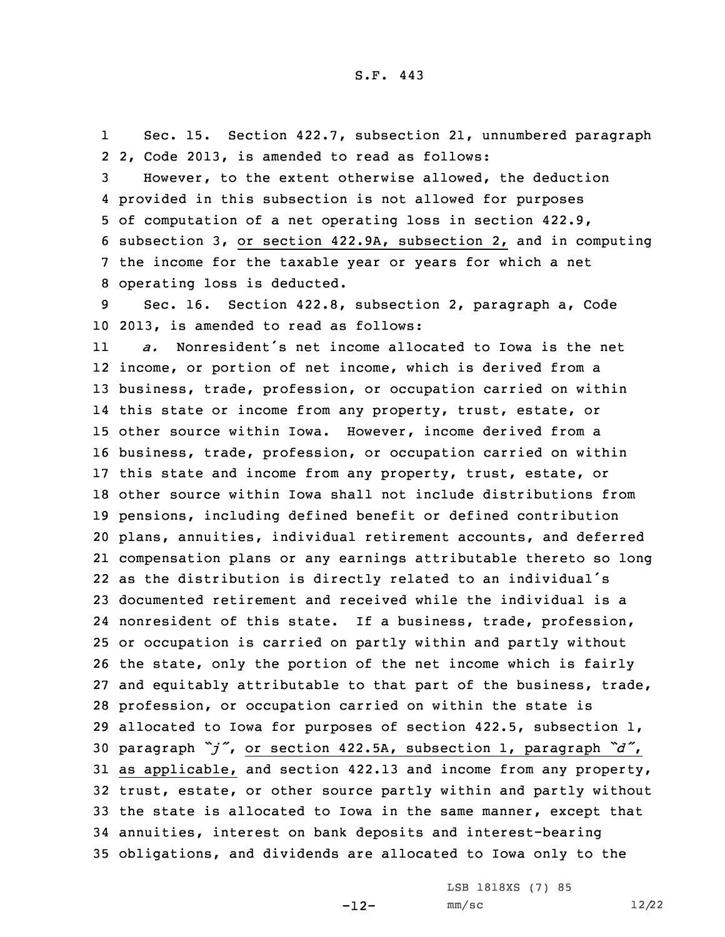1 Sec. 15. Section 422.7, subsection 21, unnumbered paragraph 2 2, Code 2013, is amended to read as follows:

 However, to the extent otherwise allowed, the deduction provided in this subsection is not allowed for purposes of computation of <sup>a</sup> net operating loss in section 422.9, subsection 3, or section 422.9A, subsection 2, and in computing the income for the taxable year or years for which <sup>a</sup> net operating loss is deducted.

9 Sec. 16. Section 422.8, subsection 2, paragraph a, Code 10 2013, is amended to read as follows:

11 *a.* Nonresident's net income allocated to Iowa is the net income, or portion of net income, which is derived from <sup>a</sup> business, trade, profession, or occupation carried on within this state or income from any property, trust, estate, or other source within Iowa. However, income derived from <sup>a</sup> business, trade, profession, or occupation carried on within this state and income from any property, trust, estate, or other source within Iowa shall not include distributions from pensions, including defined benefit or defined contribution plans, annuities, individual retirement accounts, and deferred compensation plans or any earnings attributable thereto so long as the distribution is directly related to an individual's documented retirement and received while the individual is <sup>a</sup> nonresident of this state. If <sup>a</sup> business, trade, profession, or occupation is carried on partly within and partly without the state, only the portion of the net income which is fairly and equitably attributable to that part of the business, trade, profession, or occupation carried on within the state is allocated to Iowa for purposes of section 422.5, subsection 1, paragraph *"j"*, or section 422.5A, subsection 1, paragraph *"d"*, as applicable, and section 422.13 and income from any property, trust, estate, or other source partly within and partly without the state is allocated to Iowa in the same manner, except that annuities, interest on bank deposits and interest-bearing obligations, and dividends are allocated to Iowa only to the

LSB 1818XS (7) 85

 $mm/sc$  12/22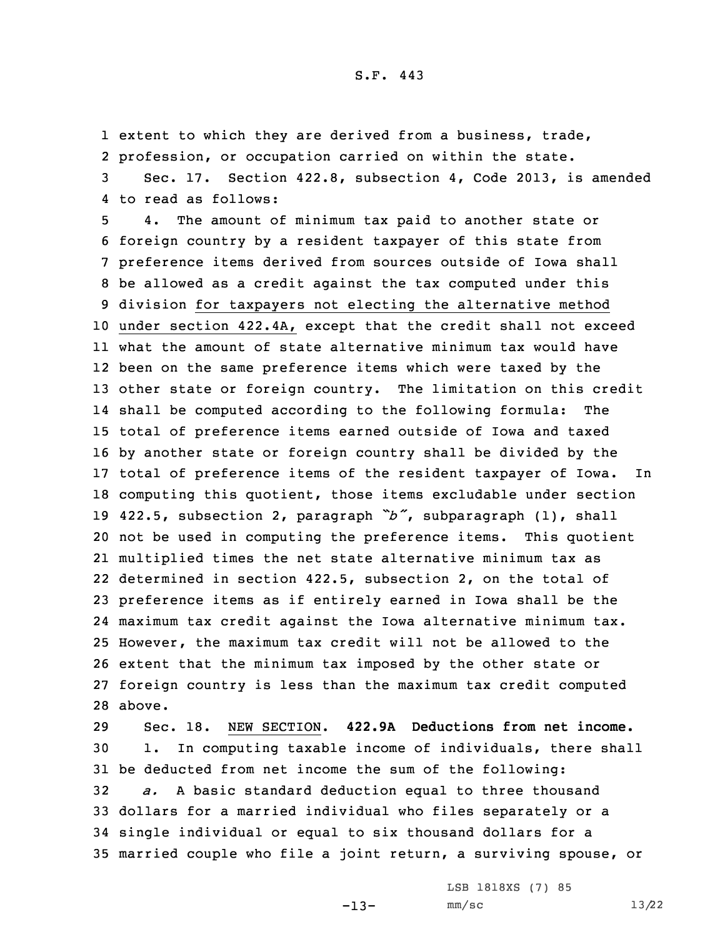1 extent to which they are derived from a business, trade, 2 profession, or occupation carried on within the state. 3 Sec. 17. Section 422.8, subsection 4, Code 2013, is amended

4 to read as follows:

 4. The amount of minimum tax paid to another state or foreign country by <sup>a</sup> resident taxpayer of this state from preference items derived from sources outside of Iowa shall be allowed as <sup>a</sup> credit against the tax computed under this division for taxpayers not electing the alternative method under section 422.4A, except that the credit shall not exceed what the amount of state alternative minimum tax would have been on the same preference items which were taxed by the other state or foreign country. The limitation on this credit shall be computed according to the following formula: The total of preference items earned outside of Iowa and taxed by another state or foreign country shall be divided by the total of preference items of the resident taxpayer of Iowa. In computing this quotient, those items excludable under section 422.5, subsection 2, paragraph *"b"*, subparagraph (1), shall not be used in computing the preference items. This quotient multiplied times the net state alternative minimum tax as determined in section 422.5, subsection 2, on the total of preference items as if entirely earned in Iowa shall be the maximum tax credit against the Iowa alternative minimum tax. However, the maximum tax credit will not be allowed to the extent that the minimum tax imposed by the other state or foreign country is less than the maximum tax credit computed 28 above.

 Sec. 18. NEW SECTION. **422.9A Deductions from net income.** 1. In computing taxable income of individuals, there shall be deducted from net income the sum of the following: *a.* <sup>A</sup> basic standard deduction equal to three thousand dollars for <sup>a</sup> married individual who files separately or <sup>a</sup> single individual or equal to six thousand dollars for <sup>a</sup> married couple who file <sup>a</sup> joint return, <sup>a</sup> surviving spouse, or

 $-13-$ 

LSB 1818XS (7) 85 mm/sc 13/22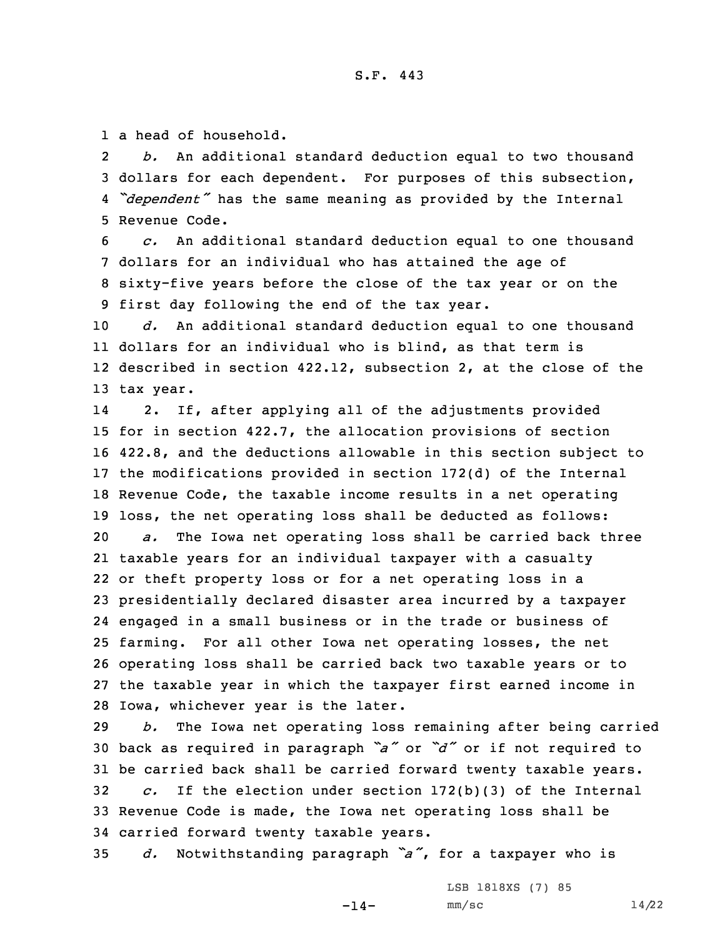1 a head of household.

2 *b.* An additional standard deduction equal to two thousand 3 dollars for each dependent. For purposes of this subsection, 4 *"dependent"* has the same meaning as provided by the Internal 5 Revenue Code.

 *c.* An additional standard deduction equal to one thousand dollars for an individual who has attained the age of sixty-five years before the close of the tax year or on the first day following the end of the tax year.

 *d.* An additional standard deduction equal to one thousand dollars for an individual who is blind, as that term is described in section 422.12, subsection 2, at the close of the tax year.

14 2. If, after applying all of the adjustments provided for in section 422.7, the allocation provisions of section 422.8, and the deductions allowable in this section subject to the modifications provided in section 172(d) of the Internal Revenue Code, the taxable income results in <sup>a</sup> net operating loss, the net operating loss shall be deducted as follows: *a.* The Iowa net operating loss shall be carried back three taxable years for an individual taxpayer with <sup>a</sup> casualty or theft property loss or for <sup>a</sup> net operating loss in <sup>a</sup> presidentially declared disaster area incurred by <sup>a</sup> taxpayer engaged in <sup>a</sup> small business or in the trade or business of farming. For all other Iowa net operating losses, the net operating loss shall be carried back two taxable years or to the taxable year in which the taxpayer first earned income in Iowa, whichever year is the later.

 *b.* The Iowa net operating loss remaining after being carried back as required in paragraph *"a"* or *"d"* or if not required to be carried back shall be carried forward twenty taxable years. *c.* If the election under section 172(b)(3) of the Internal Revenue Code is made, the Iowa net operating loss shall be carried forward twenty taxable years.

<sup>35</sup> *d.* Notwithstanding paragraph *"a"*, for <sup>a</sup> taxpayer who is

 $-14-$ 

LSB 1818XS (7) 85  $mm/sc$  14/22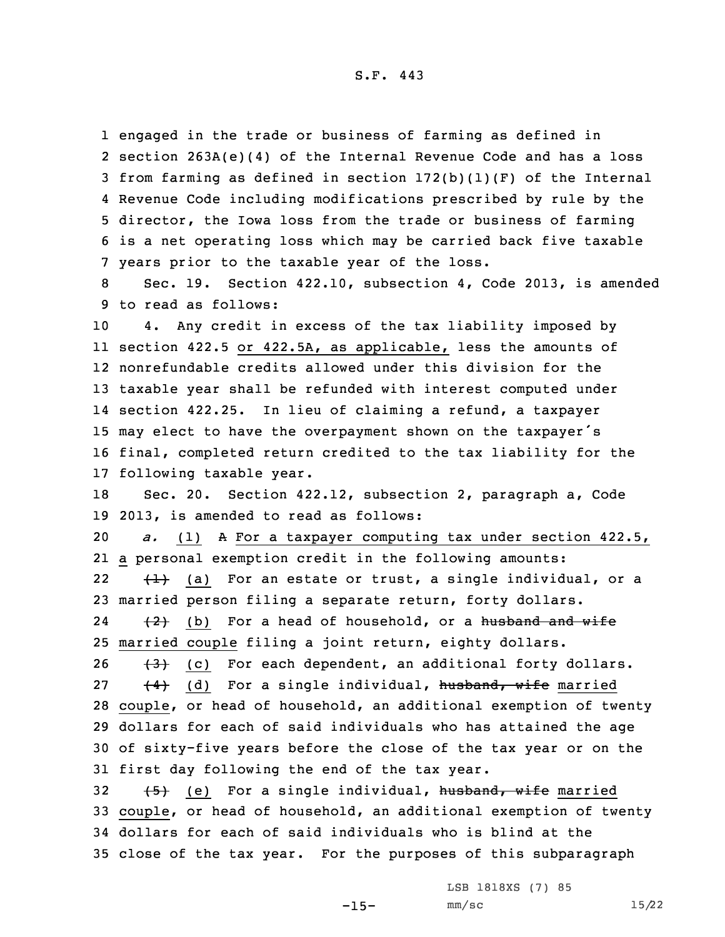engaged in the trade or business of farming as defined in section 263A(e)(4) of the Internal Revenue Code and has <sup>a</sup> loss from farming as defined in section 172(b)(1)(F) of the Internal Revenue Code including modifications prescribed by rule by the director, the Iowa loss from the trade or business of farming is <sup>a</sup> net operating loss which may be carried back five taxable years prior to the taxable year of the loss.

8 Sec. 19. Section 422.10, subsection 4, Code 2013, is amended 9 to read as follows:

 4. Any credit in excess of the tax liability imposed by section 422.5 or 422.5A, as applicable, less the amounts of nonrefundable credits allowed under this division for the taxable year shall be refunded with interest computed under section 422.25. In lieu of claiming <sup>a</sup> refund, <sup>a</sup> taxpayer may elect to have the overpayment shown on the taxpayer's final, completed return credited to the tax liability for the following taxable year.

18 Sec. 20. Section 422.12, subsection 2, paragraph a, Code 19 2013, is amended to read as follows:

20 *a.* (1) <sup>A</sup> For <sup>a</sup> taxpayer computing tax under section 422.5, 21 <sup>a</sup> personal exemption credit in the following amounts: 22 $\{+\}$  (a) For an estate or trust, a single individual, or a 23 married person filing <sup>a</sup> separate return, forty dollars. 24 $\{2\}$  (b) For a head of household, or a <del>husband and wife</del> 25 married couple filing <sup>a</sup> joint return, eighty dollars.

 $(3)$  (c) For each dependent, an additional forty dollars.  $(4)$  (d) For a single individual, husband, wife married couple, or head of household, an additional exemption of twenty dollars for each of said individuals who has attained the age of sixty-five years before the close of the tax year or on the first day following the end of the tax year.

32 (5) (e) For a single individual, husband, wife married couple, or head of household, an additional exemption of twenty dollars for each of said individuals who is blind at the close of the tax year. For the purposes of this subparagraph

LSB 1818XS (7) 85

 $-15-$ 

mm/sc 15/22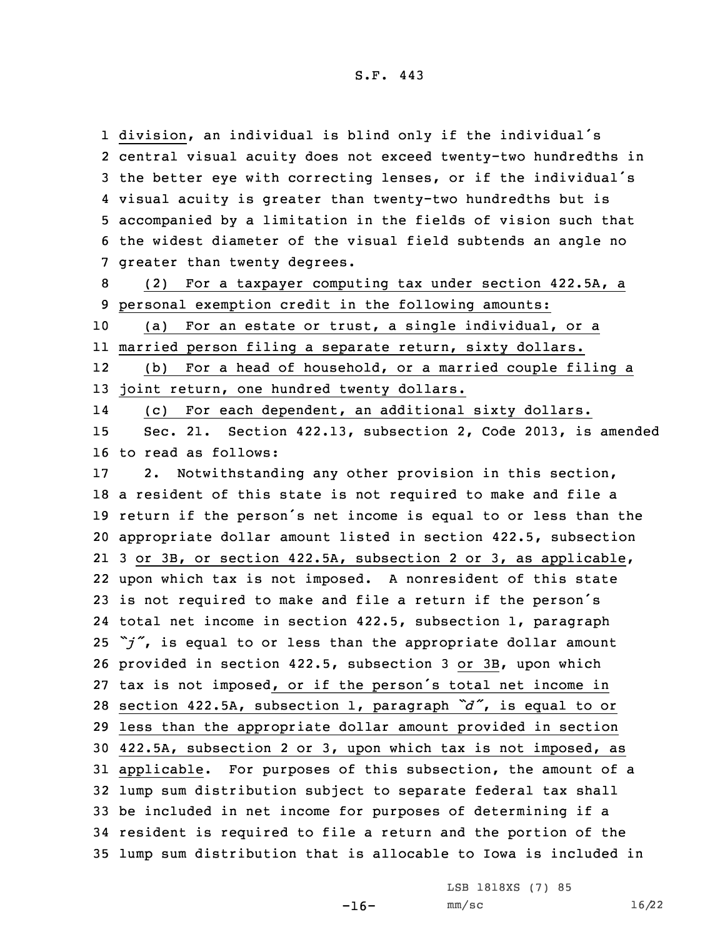division, an individual is blind only if the individual's central visual acuity does not exceed twenty-two hundredths in the better eye with correcting lenses, or if the individual's visual acuity is greater than twenty-two hundredths but is accompanied by <sup>a</sup> limitation in the fields of vision such that the widest diameter of the visual field subtends an angle no greater than twenty degrees.

8 (2) For <sup>a</sup> taxpayer computing tax under section 422.5A, <sup>a</sup> 9 personal exemption credit in the following amounts:

10 (a) For an estate or trust, <sup>a</sup> single individual, or <sup>a</sup> 11 married person filing <sup>a</sup> separate return, sixty dollars.

12 (b) For <sup>a</sup> head of household, or <sup>a</sup> married couple filing <sup>a</sup> 13 joint return, one hundred twenty dollars.

14(c) For each dependent, an additional sixty dollars.

15 Sec. 21. Section 422.13, subsection 2, Code 2013, is amended 16 to read as follows:

 2. Notwithstanding any other provision in this section, <sup>a</sup> resident of this state is not required to make and file <sup>a</sup> return if the person's net income is equal to or less than the appropriate dollar amount listed in section 422.5, subsection 3 or 3B, or section 422.5A, subsection 2 or 3, as applicable, upon which tax is not imposed. <sup>A</sup> nonresident of this state is not required to make and file <sup>a</sup> return if the person's total net income in section 422.5, subsection 1, paragraph *"j"*, is equal to or less than the appropriate dollar amount provided in section 422.5, subsection 3 or 3B, upon which tax is not imposed, or if the person's total net income in section 422.5A, subsection 1, paragraph *"d"*, is equal to or less than the appropriate dollar amount provided in section 422.5A, subsection 2 or 3, upon which tax is not imposed, as applicable. For purposes of this subsection, the amount of <sup>a</sup> lump sum distribution subject to separate federal tax shall be included in net income for purposes of determining if <sup>a</sup> resident is required to file <sup>a</sup> return and the portion of the lump sum distribution that is allocable to Iowa is included in

LSB 1818XS (7) 85

mm/sc 16/22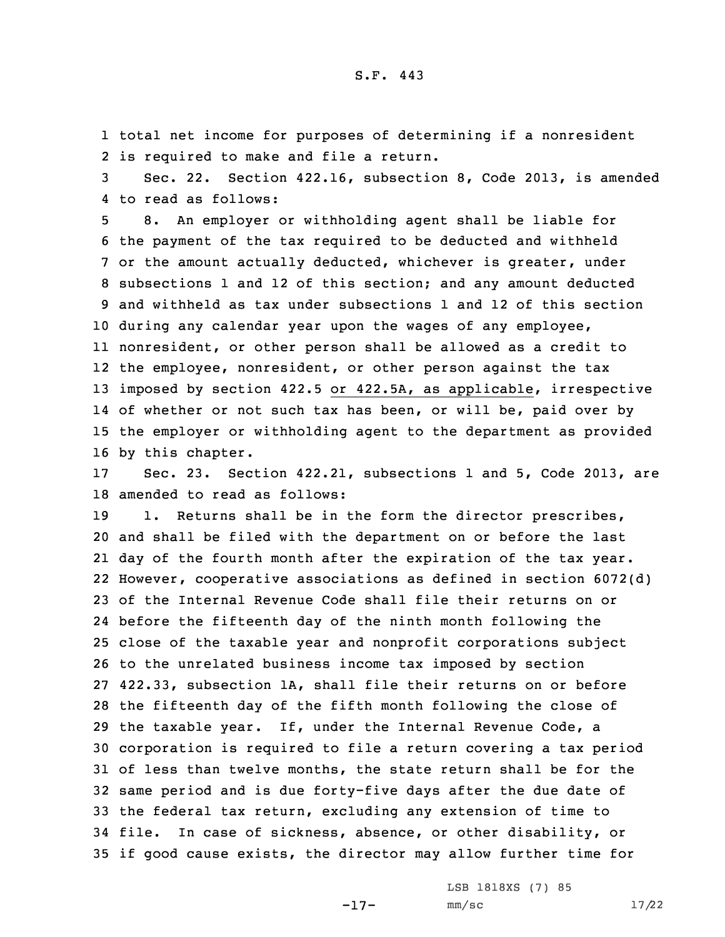1 total net income for purposes of determining if <sup>a</sup> nonresident 2 is required to make and file <sup>a</sup> return.

3 Sec. 22. Section 422.16, subsection 8, Code 2013, is amended 4 to read as follows:

 8. An employer or withholding agent shall be liable for the payment of the tax required to be deducted and withheld or the amount actually deducted, whichever is greater, under subsections 1 and 12 of this section; and any amount deducted and withheld as tax under subsections 1 and 12 of this section during any calendar year upon the wages of any employee, nonresident, or other person shall be allowed as <sup>a</sup> credit to the employee, nonresident, or other person against the tax imposed by section 422.5 or 422.5A, as applicable, irrespective of whether or not such tax has been, or will be, paid over by the employer or withholding agent to the department as provided by this chapter.

17 Sec. 23. Section 422.21, subsections 1 and 5, Code 2013, are 18 amended to read as follows:

19 1. Returns shall be in the form the director prescribes, and shall be filed with the department on or before the last day of the fourth month after the expiration of the tax year. However, cooperative associations as defined in section 6072(d) of the Internal Revenue Code shall file their returns on or before the fifteenth day of the ninth month following the close of the taxable year and nonprofit corporations subject to the unrelated business income tax imposed by section 422.33, subsection 1A, shall file their returns on or before the fifteenth day of the fifth month following the close of the taxable year. If, under the Internal Revenue Code, <sup>a</sup> corporation is required to file <sup>a</sup> return covering <sup>a</sup> tax period of less than twelve months, the state return shall be for the same period and is due forty-five days after the due date of the federal tax return, excluding any extension of time to file. In case of sickness, absence, or other disability, or if good cause exists, the director may allow further time for

-17-

LSB 1818XS (7) 85 mm/sc 17/22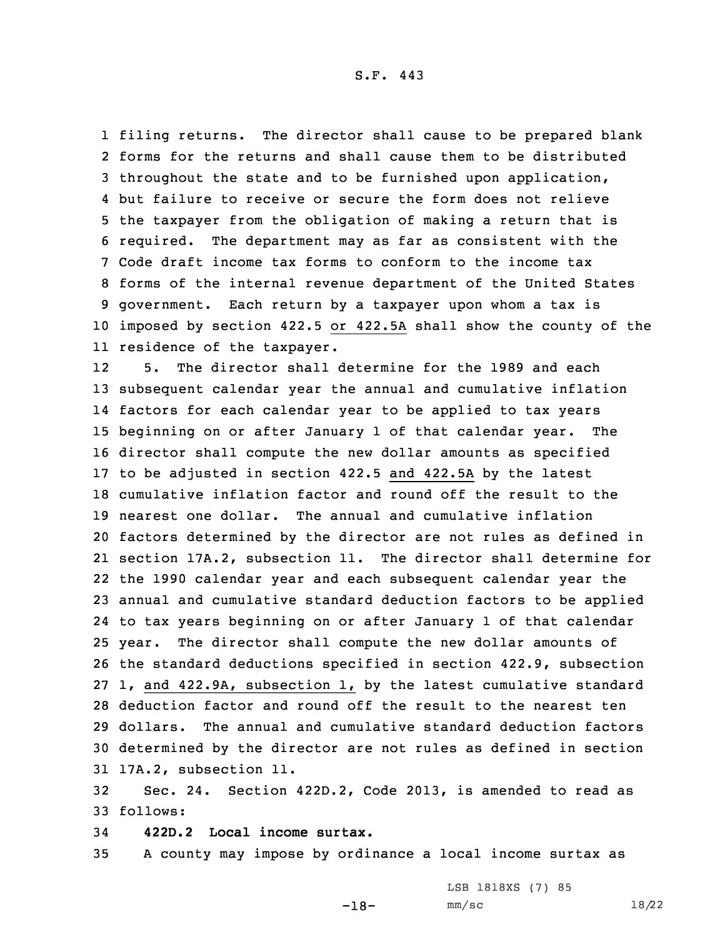filing returns. The director shall cause to be prepared blank forms for the returns and shall cause them to be distributed throughout the state and to be furnished upon application, but failure to receive or secure the form does not relieve the taxpayer from the obligation of making <sup>a</sup> return that is required. The department may as far as consistent with the Code draft income tax forms to conform to the income tax forms of the internal revenue department of the United States government. Each return by <sup>a</sup> taxpayer upon whom <sup>a</sup> tax is imposed by section 422.5 or 422.5A shall show the county of the residence of the taxpayer.

12 5. The director shall determine for the 1989 and each subsequent calendar year the annual and cumulative inflation factors for each calendar year to be applied to tax years beginning on or after January 1 of that calendar year. The director shall compute the new dollar amounts as specified to be adjusted in section 422.5 and 422.5A by the latest cumulative inflation factor and round off the result to the nearest one dollar. The annual and cumulative inflation factors determined by the director are not rules as defined in section 17A.2, subsection 11. The director shall determine for the 1990 calendar year and each subsequent calendar year the annual and cumulative standard deduction factors to be applied to tax years beginning on or after January 1 of that calendar year. The director shall compute the new dollar amounts of the standard deductions specified in section 422.9, subsection 1, and 422.9A, subsection 1, by the latest cumulative standard deduction factor and round off the result to the nearest ten dollars. The annual and cumulative standard deduction factors determined by the director are not rules as defined in section 17A.2, subsection 11.

32 Sec. 24. Section 422D.2, Code 2013, is amended to read as 33 follows:

34 **422D.2 Local income surtax.**

35 <sup>A</sup> county may impose by ordinance <sup>a</sup> local income surtax as

-18-

LSB 1818XS (7) 85 mm/sc 18/22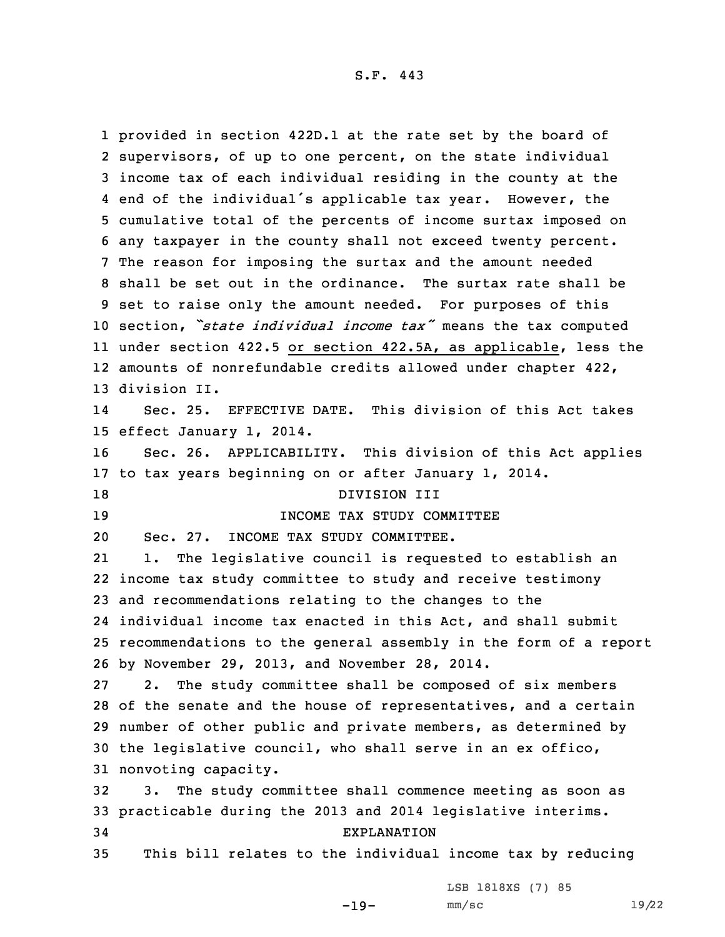provided in section 422D.1 at the rate set by the board of supervisors, of up to one percent, on the state individual income tax of each individual residing in the county at the end of the individual's applicable tax year. However, the cumulative total of the percents of income surtax imposed on any taxpayer in the county shall not exceed twenty percent. The reason for imposing the surtax and the amount needed shall be set out in the ordinance. The surtax rate shall be set to raise only the amount needed. For purposes of this section, *"state individual income tax"* means the tax computed under section 422.5 or section 422.5A, as applicable, less the amounts of nonrefundable credits allowed under chapter 422, division II. 14 Sec. 25. EFFECTIVE DATE. This division of this Act takes effect January 1, 2014. Sec. 26. APPLICABILITY. This division of this Act applies to tax years beginning on or after January 1, 2014. 18 DIVISION III INCOME TAX STUDY COMMITTEE Sec. 27. INCOME TAX STUDY COMMITTEE. 21 1. The legislative council is requested to establish an income tax study committee to study and receive testimony and recommendations relating to the changes to the individual income tax enacted in this Act, and shall submit recommendations to the general assembly in the form of <sup>a</sup> report by November 29, 2013, and November 28, 2014. 2. The study committee shall be composed of six members of the senate and the house of representatives, and <sup>a</sup> certain number of other public and private members, as determined by the legislative council, who shall serve in an ex offico, nonvoting capacity. 3. The study committee shall commence meeting as soon as practicable during the 2013 and 2014 legislative interims. EXPLANATION This bill relates to the individual income tax by reducing

LSB 1818XS (7) 85

-19-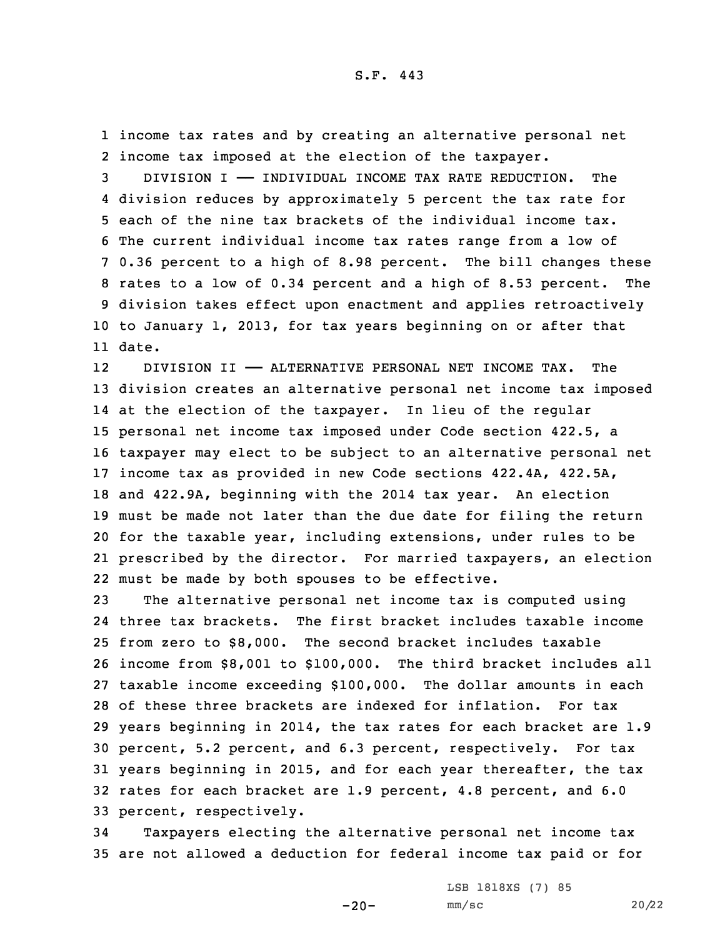1 income tax rates and by creating an alternative personal net 2 income tax imposed at the election of the taxpayer.

 DIVISION I —— INDIVIDUAL INCOME TAX RATE REDUCTION. The division reduces by approximately 5 percent the tax rate for each of the nine tax brackets of the individual income tax. The current individual income tax rates range from <sup>a</sup> low of 0.36 percent to <sup>a</sup> high of 8.98 percent. The bill changes these rates to <sup>a</sup> low of 0.34 percent and <sup>a</sup> high of 8.53 percent. The division takes effect upon enactment and applies retroactively to January 1, 2013, for tax years beginning on or after that 11 date.

12 DIVISION II —— ALTERNATIVE PERSONAL NET INCOME TAX. The division creates an alternative personal net income tax imposed at the election of the taxpayer. In lieu of the regular personal net income tax imposed under Code section 422.5, <sup>a</sup> taxpayer may elect to be subject to an alternative personal net income tax as provided in new Code sections 422.4A, 422.5A, and 422.9A, beginning with the 2014 tax year. An election must be made not later than the due date for filing the return for the taxable year, including extensions, under rules to be prescribed by the director. For married taxpayers, an election must be made by both spouses to be effective.

 The alternative personal net income tax is computed using three tax brackets. The first bracket includes taxable income from zero to \$8,000. The second bracket includes taxable income from \$8,001 to \$100,000. The third bracket includes all taxable income exceeding \$100,000. The dollar amounts in each of these three brackets are indexed for inflation. For tax years beginning in 2014, the tax rates for each bracket are 1.9 percent, 5.2 percent, and 6.3 percent, respectively. For tax years beginning in 2015, and for each year thereafter, the tax rates for each bracket are 1.9 percent, 4.8 percent, and 6.0 percent, respectively.

34 Taxpayers electing the alternative personal net income tax 35 are not allowed <sup>a</sup> deduction for federal income tax paid or for

-20-

LSB 1818XS (7) 85 mm/sc 20/22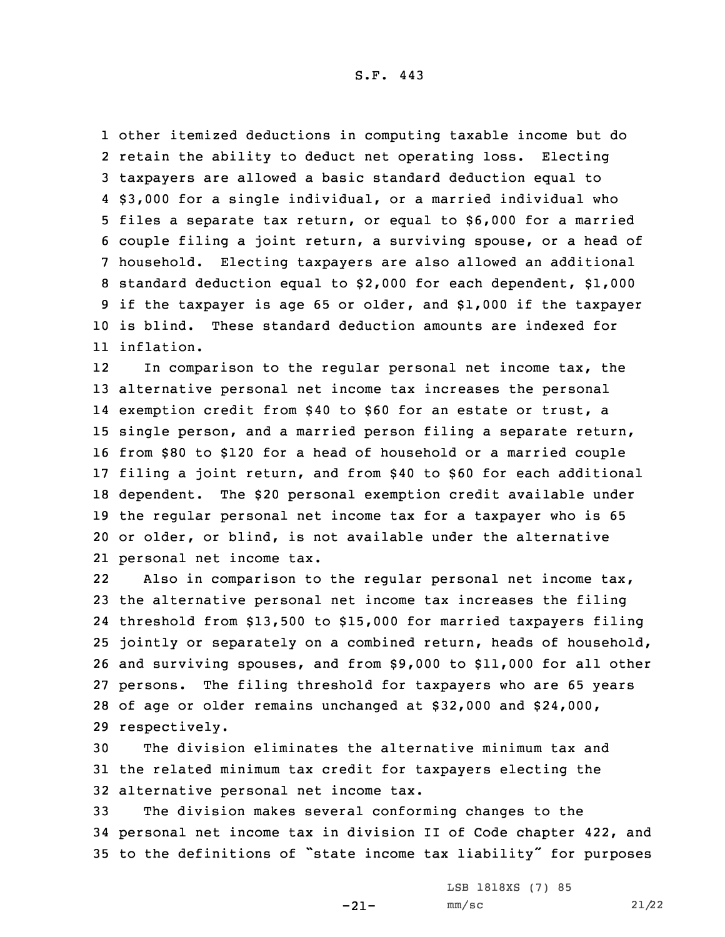other itemized deductions in computing taxable income but do retain the ability to deduct net operating loss. Electing taxpayers are allowed <sup>a</sup> basic standard deduction equal to \$3,000 for <sup>a</sup> single individual, or <sup>a</sup> married individual who files <sup>a</sup> separate tax return, or equal to \$6,000 for <sup>a</sup> married couple filing <sup>a</sup> joint return, <sup>a</sup> surviving spouse, or <sup>a</sup> head of household. Electing taxpayers are also allowed an additional standard deduction equal to \$2,000 for each dependent, \$1,000 if the taxpayer is age 65 or older, and \$1,000 if the taxpayer is blind. These standard deduction amounts are indexed for inflation.

12 In comparison to the regular personal net income tax, the alternative personal net income tax increases the personal exemption credit from \$40 to \$60 for an estate or trust, <sup>a</sup> single person, and <sup>a</sup> married person filing <sup>a</sup> separate return, from \$80 to \$120 for <sup>a</sup> head of household or <sup>a</sup> married couple filing <sup>a</sup> joint return, and from \$40 to \$60 for each additional dependent. The \$20 personal exemption credit available under the regular personal net income tax for <sup>a</sup> taxpayer who is 65 or older, or blind, is not available under the alternative personal net income tax.

22 Also in comparison to the regular personal net income tax, the alternative personal net income tax increases the filing threshold from \$13,500 to \$15,000 for married taxpayers filing jointly or separately on <sup>a</sup> combined return, heads of household, and surviving spouses, and from \$9,000 to \$11,000 for all other persons. The filing threshold for taxpayers who are 65 years of age or older remains unchanged at \$32,000 and \$24,000, respectively.

30 The division eliminates the alternative minimum tax and 31 the related minimum tax credit for taxpayers electing the 32 alternative personal net income tax.

33 The division makes several conforming changes to the 34 personal net income tax in division II of Code chapter 422, and <sup>35</sup> to the definitions of "state income tax liability" for purposes

-21-

LSB 1818XS (7) 85  $mm/sc$  21/22